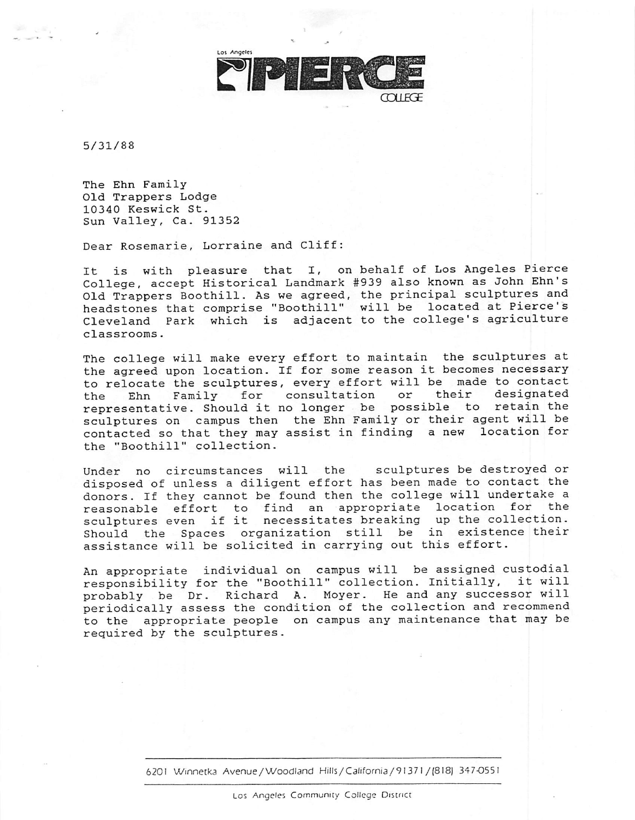

5/31/88

The Ehn Family Old Trappers Lodge 10340 Keswick St. Sun Valley, Ca. 91352

Dear Rosemarie, Lorraine and Cliff:

It is with pleasure that I, on behalf of Los Angeles Pierce College, accept Historical Landmark # 939 also known as John Ehn's Old Trappers Boothill. As we agreed, the principal sculptures and headstones that comprise "Boothill" will be located at Pierce's Cleveland Park which is adjacent to the college's agriculture classrooms.

The college will make every effort to maintain the sculptures at the agreed upon location. If for some reason it becomes necessary to relocate the sculptures, every effort will be made to contact<br>the Ehn Family for consultation or their designated the Ehn Family for consultation or their designated representative. Should it no longer be possible to retain the sculptures on campus then the Ehn Family or their agent will be contacted so that they may assist in finding a new location for the "Boothill" collection.

Under no circumstances will the sculptures be destroyed or disposed of unless a diligent effort has been made to contact the donors. If they cannot be found then the college will undertake a reasonable effort to find an appropriate location for the sculptures even if it necessitates breaking up the collection. Should the Spaces organization still be in existence their assistance will be solicited in carrying out this effort.

An appropriate individual on campus will be assigned custodial responsibility for the "Boothill" collection. Initially, it will probably be Dr. Richard A. Moyer. He and any successor will periodically assess the condition of the collection and recommend to the appropriate people on campus any maintenance that may be required by the sculptures.

6201 Winnetka Avenue/Woodland Hills/California/91371/(818) 347-0551